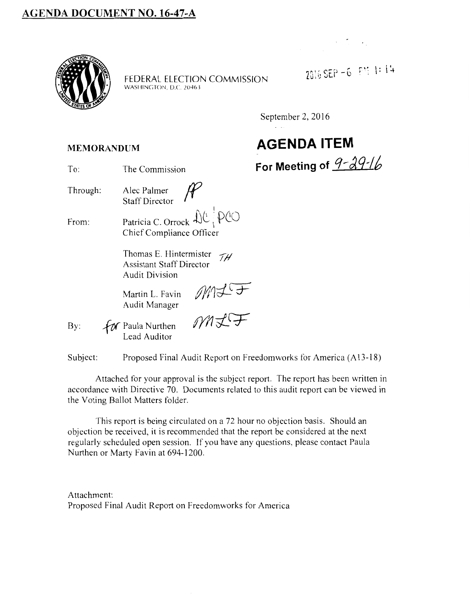

FEDERAL ELECTION COMMISSION WASHINGTON, D.C. 20463

2016 SEP - 6 PM 1: 14

September 2, 2016

# **AGENDA ITEM**  For Meeting of 9-29-16

#### **MEMORANDUM**

Through: Alec Palmer Staff Director

From:

Patricia C. Orrock  $\left|\left|\left(\mathcal{H}\right)\right|\right|$   $\left|\left|\mathcal{H}\right|\right|$ Chief Compliance Officer

Thomas E. Hintermister  $\mathcal{T}H$ Assistant Staff Director Audit Division

Martin L. Favin *M1*<br>
Audit Manager<br>
Paula Nurthen *M1* Audit Manager

By:  $f$  $\alpha$  Paula Nurthen Lead Auditor

Subject: Proposed Final Audit Report on Freedom works for America (A13-18)

Attached for your approval is the subject report. The report has been written in accordance with Directive 70. Documents related to this audit report can be viewed in the Voting Ballot Matters folder.

This report is being circulated on a 72 hour no objection basis. Should an objection be received, it is recommended that the report be considered at the next regularly scheduled open session. If you have any questions, please contact Paula Nurthen or Marty Favin at 694-1200.

Attachment: Proposed Final Audit Report on Freedomworks for America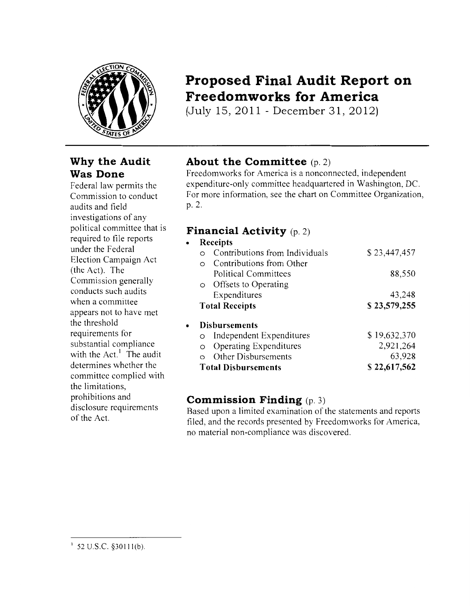

### **Why the Audit Was Done**

Federal law permits the Commission to conduct audits and field investigations of any political committee that is required to file reports under the Federal Election Campaign Act (the Act). The Commission generally conducts such audits when a committee appears not to have met the threshold requirements for substantial compliance with the  $Act.$ <sup>1</sup> The audit determines whether the committee complied with the limitations, prohibitions and disclosure requirements of the Act.

### **Proposed Final Audit Report on Freedomworks for America**

(July 15,2011- December 31, 2012)

#### **About the Committee** (p. 2)

Freedomworks for America is a nonconnected, independent expenditure-only committee headquartered in Washington, DC. For more information, see the chart on Committee Organization, p. 2.

#### **Financial Activity** (p. 2)

| Receipts                   |                                |              |
|----------------------------|--------------------------------|--------------|
|                            | Contributions from Individuals | \$23,447,457 |
| $\Omega$                   | Contributions from Other       |              |
|                            | Political Committees           | 88,550       |
| $\circ$                    | Offsets to Operating           |              |
|                            | Expenditures                   | 43,248       |
| <b>Total Receipts</b>      |                                | \$23,579,255 |
|                            | <b>Disbursements</b>           |              |
| $\circ$                    | Independent Expenditures       | \$19,632,370 |
| $\circ$                    | <b>Operating Expenditures</b>  | 2,921,264    |
|                            | Other Disbursements            | 63,928       |
| <b>Total Disbursements</b> |                                | \$22,617,562 |

#### **Commission Finding** (p. 3)

Based upon a limited examination of the statements and reports filed, and the records presented by Freedomworks for America, no material non-compliance was discovered.

 $1\,$  52 U.S.C. §30111(b).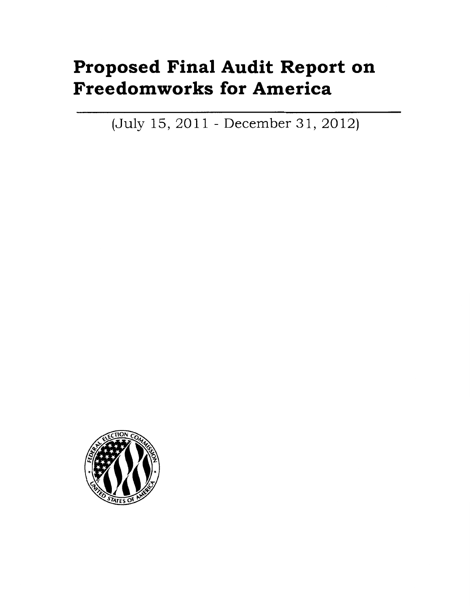# **Proposed Final Audit Report on Freedomworks for America**

(July 15,2011- December 31, 2012)

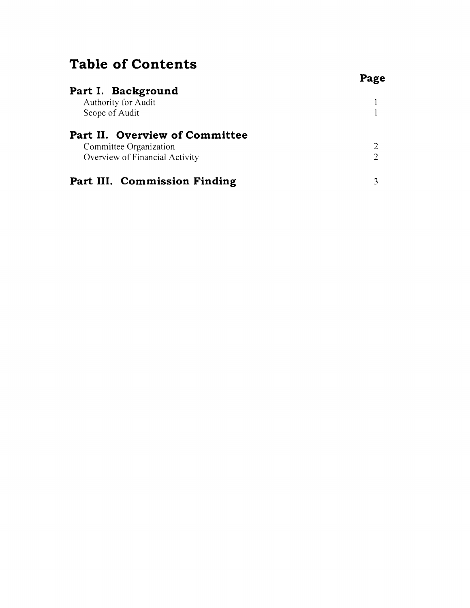### **Table of Contents**

|                                                          | Page |
|----------------------------------------------------------|------|
| Part I. Background                                       |      |
| Authority for Audit                                      |      |
| Scope of Audit                                           |      |
| Part II. Overview of Committee<br>Committee Organization |      |
| Overview of Financial Activity                           |      |
|                                                          |      |
| Part III. Commission Finding                             |      |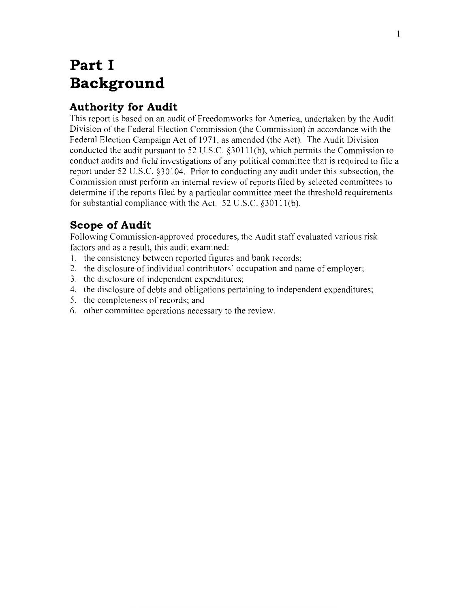## **Part I Background**

#### **Authority for Audit**

This report is based on an audit of Freedom works for America, undertaken by the Audit Division of the Federal Election Commission (the Commission) in accordance with the Federal Election Campaign Act of 1971, as amended (the Act). The Audit Division conducted the audit pursuant to 52 U.S.C. §30111(b), which permits the Commission to conduct audits and field investigations of any political committee that is required to file a report under 52 U.S.C. §30104. Prior to conducting any audit under this subsection, the Commission must perform an internal review of reports filed by selected committees to determine if the reports filed by a particular committee meet the threshold requirements for substantial compliance with the Act. 52 U.S.C. §30111(b).

#### **Scope of Audit**

Following Commission-approved procedures, the Audit staff evaluated various risk factors and as a result, this audit examined:

- 1. the consistency between reported figures and bank records;
- 2. the disclosure of individual contributors' occupation and name of employer;
- 3. the disclosure of independent expenditures;
- 4. the disclosure of debts and obligations pertaining to independent expenditures;
- 5. the completeness of records; and
- 6. other committee operations necessary to the review.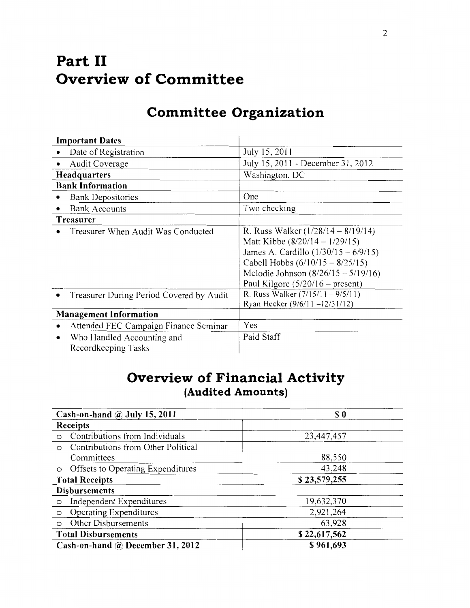## **Part II Overview of Committee**

| <b>Important Dates</b>                                 |                                                                                                                                                                                                                                         |
|--------------------------------------------------------|-----------------------------------------------------------------------------------------------------------------------------------------------------------------------------------------------------------------------------------------|
| Date of Registration                                   | July 15, 2011                                                                                                                                                                                                                           |
| Audit Coverage                                         | July 15, 2011 - December 31, 2012                                                                                                                                                                                                       |
| <b>Headquarters</b>                                    | Washington, DC                                                                                                                                                                                                                          |
| <b>Bank Information</b>                                |                                                                                                                                                                                                                                         |
| <b>Bank Depositories</b>                               | One                                                                                                                                                                                                                                     |
| <b>Bank Accounts</b>                                   | Two checking                                                                                                                                                                                                                            |
| Treasurer                                              |                                                                                                                                                                                                                                         |
| Treasurer When Audit Was Conducted                     | R. Russ Walker $(1/28/14 - 8/19/14)$<br>Matt Kibbe $(8/20/14 - 1/29/15)$<br>James A. Cardillo $(1/30/15 - 6/9/15)$<br>Cabell Hobbs $(6/10/15 - 8/25/15)$<br>Melodie Johnson $(8/26/15 - 5/19/16)$<br>Paul Kilgore $(5/20/16 -$ present) |
| Treasurer During Period Covered by Audit               | R. Russ Walker $(7/15/11 - 9/5/11)$<br>Ryan Hecker (9/6/11-12/31/12)                                                                                                                                                                    |
| <b>Management Information</b>                          |                                                                                                                                                                                                                                         |
| Attended FEC Campaign Finance Seminar<br>$\bullet$     | Yes                                                                                                                                                                                                                                     |
| Who Handled Accounting and<br>٠<br>Recordkeeping Tasks | Paid Staff                                                                                                                                                                                                                              |

### **Committee Organization**

### **Overview of Financial Activity (Audited Amounts)**

| Cash-on-hand $\omega$ July 15, 2011           | S <sub>0</sub> |  |
|-----------------------------------------------|----------------|--|
| Receipts                                      |                |  |
| Contributions from Individuals<br>$\circ$     | 23,447,457     |  |
| Contributions from Other Political<br>$\circ$ |                |  |
| Committees                                    | 88,550         |  |
| Offsets to Operating Expenditures<br>$\circ$  | 43,248         |  |
| <b>Total Receipts</b>                         | \$23,579,255   |  |
| <b>Disbursements</b>                          |                |  |
| Independent Expenditures<br>$\circ$           | 19,632,370     |  |
| Operating Expenditures<br>$\circ$             | 2,921,264      |  |
| Other Disbursements<br>$\circ$                | 63,928         |  |
| <b>Total Disbursements</b>                    | \$22,617,562   |  |
| Cash-on-hand @ December 31, 2012              | \$961,693      |  |